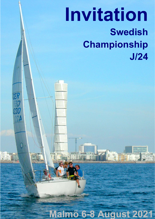# Invitation Swedish Championship J/24

CER

230

Ő

Malmö 6-8 August 2021

**THE STATE**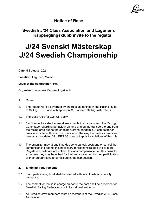

# Notice of Race

# Swedish J/24 Class Association and Lagunens Kappseglingsklubb invite to the regatta

# J/24 Svenskt Mästerskap J/24 Swedish Championship

Date: 6-8 August 2021

Location: Lagunen, Malmö

Level of the competition: Red

Organizer: Lagunens Kappseglingsklubb

#### 1. Rules

- 1.1 The regatta will be governed by the rules as defined in the Racing Rules of Sailing (RRS) and with appendix S, Standard Sailing Instructions.
- 1.2 The class rules for J/24 will apply.
- 1.3 1.4 Competitors shall follow all reasonable instructions from the Racing Committee regarding behaviour on land and during transport to and from the racing area due to the ongoing Corona pandemic. A competitor or crew who violates this can be punished in the way the protest committee deems appropriate (DP). RRS 36 does not apply to violations of this rule.
- 1.4 The organizer may at any time decide to cancel, postpone or cancel the competition if it deems this necessary for reasons related to covid-19. Registered boats are not entitled to claim compensation on this basis for expenses they may have had for their registration or for their participation or their preparations to participate in the competition.

#### 2. Eligibility requirements

- 2.1 Each participating boat shall be insured with valid third-party liability insurance
- 2.2 The competitor that is in charge on board the boat shall be a member of Swedish Sailing Federations or to its national authority.
- 2.3 All Swedish crew members must be members of the Swedish J/24 Class Association.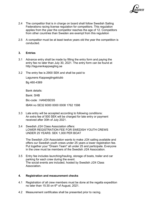

- 2.4 The competitor that is in charge on board shall follow Swedish Sailing Federations racing license regulation for competitors. This regulation applies from the year the competitor reaches the age of 12. Competitors from other countries than Sweden are exempt from this regulation
- 2.5 A competitor must be at least twelve years old the year the competition is conducted.

#### 3. Entries

- 3.1 Advance entry shall be made by filling the entry form and paying the entry fee no later than July 30, 2021. The entry form can be found at http://lagunenkappsegling.se
- 3.2 The entry fee is 2900 SEK and shall be paid to

Lagunens Kappseglingsklubb Bg 460-4369

Bank details: Bank: SHB Bic-code : HANDSESS IBAN no SE32 6000 0000 0008 1762 1598

- 3.3 Late entry will be accepted according to following conditions: An extra fee of 500 SEK will be charged for late entry or payment received after 30th of July 2021.
- 3.4 Swedish J/24 Class Association offers: LOWER REGISTRATION FEE FOR SWEDISH YOUTH CREWS UNDER 25 YEARS: SEK 1,000 PER BOAT

 The Swedish J/24 Association wants to make J/24 sailing available and offers our Swedish youth crews under 25 years a lower registration fee. Put together your "Dream Team" all under 25 and participate. Everyone in the crew must be members of the Swedish J/24 Association.

3.5 Entry fee includes launching/hauling, storage of boats, trailer and car parking for each crew during the event. The social events are included, hosted by Swedish J/24 Class Association.

#### 4. Registration and measurement checks

- 4.1 Registration of all crew members must be done at the regatta expedition no later than 15:30 on  $6<sup>th</sup>$  of August, 2021.
- 4.2 Measurement certificates shall be presented prior to racing.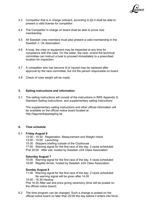

- 4.3 Competitor that is in charge onboard, according to §2.4 shall be able to present a valid license for competitor.
- 4.4 The Competitor in charge on board shall be able to prove club membership.
- 4.5 All Swedish crew members must also present a valid membership in the Swedish J / 24 Association.
- 4.6 A boat, the crew or equipment may be inspected at any time for compliance with the rules. On the water, the race- or/and the technical committee can instruct a boat to proceed immediately to a prescribed location for inspection.
- 4.7 A competitor who has become ill or injured may be replaced after approval by the race committee, but not the person responsible on board.
- 4.8 Check of crew weight will be made.

#### 5. Sailing instructions and information

5.1 The sailing instructions will consist of the instructions in RRS Appendix S, Standard Sailing Instructions, and supplementary sailing instructions

 The supplementary sailing instructions and other official information will be available on the official notice board located at http://lagunenkappsegling.se

#### 6. Time schedule

#### 6.1 Friday August 6

- 13:00 15:30 Registration, Measurement and Weight check
- 13:00 15:00 Launching
- 15:30 Skippers briefing outside of the Clubhouse
- 17:00 Warning signal for the first race of the day. 2 races scheduled Prel 20:00 After sail, hosted by Swedish J/24 Class Association

#### Saturday August 7

- 10:00 Warning signal for the first race of the day. 4 races scheduled
- 19:00 Regatta dinner, hosted by Swedish J/24 Class Association

#### Sunday August 8

- 11:00 Warning signal for the first race of the day. 2 races scheduled No warning signal will be given after 14.00
- 15:00 16.30 Hauling

 Prel 16:30 After sail and price giving ceremony (time will be posted on the official notice board).

6.2 The time program can be changed. Such a change is posted on the official notice board no later than 20:00 the day before it enters into force.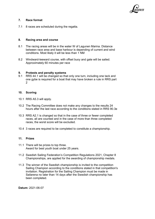

#### 7. Race format

7.1 8 races are scheduled during the regatta.

#### 8. Racing area and course

- 8.1 The racing areas will be in the water W of Lagunen Marina. Distance between race area and base harbour is depending of current and wind conditions. Most likely it will be less than 1 NM
- 8.2 Windward-leeward course, with offset buoy and gate will be sailed. Approximately 60 minutes per race

#### 9. Protests and penalty systems

9.1 RRS 44.1 will be changed so that only one turn, including one tack and one gybe is required for a boat that may have broken a rule in RRS part  $\mathfrak{p}$ 

#### 10. Scoring

- 10.1 RRS A5.3 will apply.
- 10.2 The Racing Committee does not make any changes to the results 24 hours after the last race according to the conditions stated in RRS 90.3e
- 10.3 RRS A2.1 is changed so that in the case of three or fewer completed races, all are counted and in the case of more than three completed races, the worst score will be excluded.
- 10.4 3 races are required to be completed to constitute a championship.

#### 11. Prizes

- 11.1 There will be prizes to top three. Award for best youth boat under 25 years.
- 11.2 Swedish Sailing Federation's Competition Regulations 2021, Chapter 8 Championships, are applied for the awarding of championship medals.
- 11.3 The winner of the Swedish championship is invited to the competition Sailing Champion according to the conditions stated in that competition's invitation. Registration for the Sailing Champion must be made in Sailarena no later than 14 days after the Swedish championship has been completed.

Datum: 2021-06-07